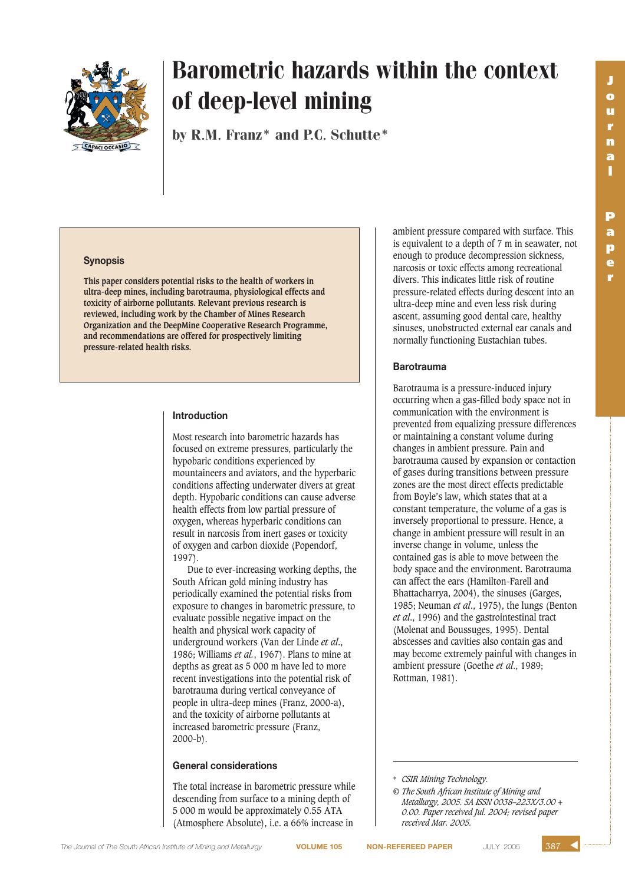

# Barometric hazards within the context of deep-level mining

by R.M. Franz<sup>\*</sup> and P.C. Schutte<sup>\*</sup>

#### **Synopsis**

**This paper considers potential risks to the health of workers in ultra-deep mines, including barotrauma, physiological effects and toxicity of airborne pollutants. Relevant previous research is reviewed, including work by the Chamber of Mines Research Organization and the DeepMine Cooperative Research Programme, and recommendations are offered for prospectively limiting pressure-related health risks.**

### **Introduction**

Most research into barometric hazards has focused on extreme pressures, particularly the hypobaric conditions experienced by mountaineers and aviators, and the hyperbaric conditions affecting underwater divers at great depth. Hypobaric conditions can cause adverse health effects from low partial pressure of oxygen, whereas hyperbaric conditions can result in narcosis from inert gases or toxicity of oxygen and carbon dioxide (Popendorf, 1997).

Due to ever-increasing working depths, the South African gold mining industry has periodically examined the potential risks from exposure to changes in barometric pressure, to evaluate possible negative impact on the health and physical work capacity of underground workers (Van der Linde *et al*., 1986; Williams *et al.*, 1967). Plans to mine at depths as great as 5 000 m have led to more recent investigations into the potential risk of barotrauma during vertical conveyance of people in ultra-deep mines (Franz, 2000-a), and the toxicity of airborne pollutants at increased barometric pressure (Franz, 2000-b).

### **General considerations**

The total increase in barometric pressure while descending from surface to a mining depth of 5 000 m would be approximately 0.55 ATA (Atmosphere Absolute), i.e. a 66% increase in

ambient pressure compared with surface. This is equivalent to a depth of 7 m in seawater, not enough to produce decompression sickness, narcosis or toxic effects among recreational divers. This indicates little risk of routine pressure-related effects during descent into an ultra-deep mine and even less risk during ascent, assuming good dental care, healthy sinuses, unobstructed external ear canals and normally functioning Eustachian tubes.

#### **Barotrauma**

Barotrauma is a pressure-induced injury occurring when a gas-filled body space not in communication with the environment is prevented from equalizing pressure differences or maintaining a constant volume during changes in ambient pressure. Pain and barotrauma caused by expansion or contaction of gases during transitions between pressure zones are the most direct effects predictable from Boyle's law, which states that at a constant temperature, the volume of a gas is inversely proportional to pressure. Hence, a change in ambient pressure will result in an inverse change in volume, unless the contained gas is able to move between the body space and the environment. Barotrauma can affect the ears (Hamilton-Farell and Bhattacharrya, 2004), the sinuses (Garges, 1985; Neuman *et al*., 1975), the lungs (Benton *et al*., 1996) and the gastrointestinal tract (Molenat and Boussuges, 1995). Dental abscesses and cavities also contain gas and may become extremely painful with changes in ambient pressure (Goethe *et al*., 1989; Rottman, 1981).

▲

<sup>\*</sup> *CSIR Mining Technology.*

*<sup>©</sup> The South African Institute of Mining and Metallurgy, 2005. SA ISSN 0038–223X/3.00 + 0.00. Paper received Jul. 2004; revised paper received Mar. 2005.*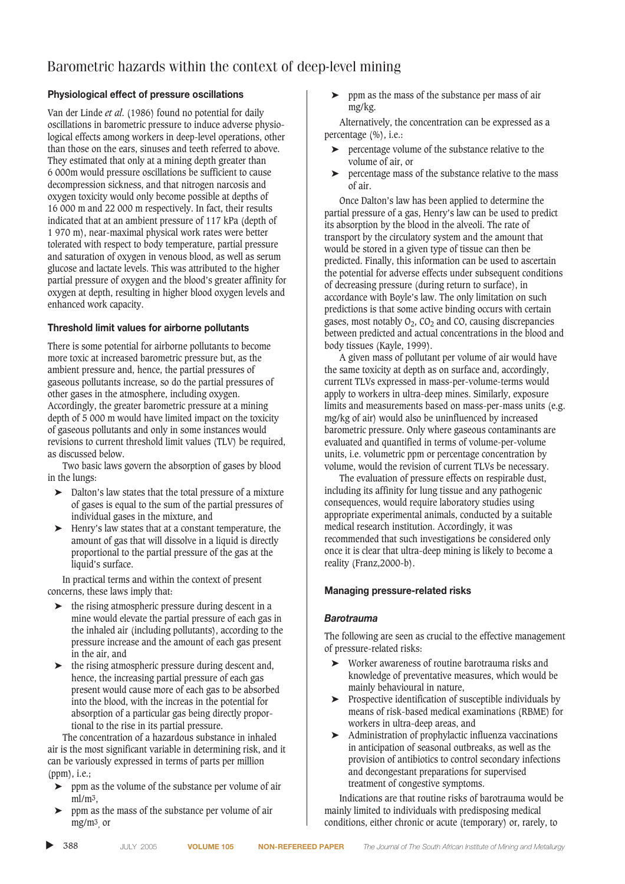# Barometric hazards within the context of deep-level mining

# **Physiological effect of pressure oscillations**

Van der Linde *et al*. (1986) found no potential for daily oscillations in barometric pressure to induce adverse physiological effects among workers in deep-level operations, other than those on the ears, sinuses and teeth referred to above. They estimated that only at a mining depth greater than 6 000m would pressure oscillations be sufficient to cause decompression sickness, and that nitrogen narcosis and oxygen toxicity would only become possible at depths of 16 000 m and 22 000 m respectively. In fact, their results indicated that at an ambient pressure of 117 kPa (depth of 1 970 m), near-maximal physical work rates were better tolerated with respect to body temperature, partial pressure and saturation of oxygen in venous blood, as well as serum glucose and lactate levels. This was attributed to the higher partial pressure of oxygen and the blood's greater affinity for oxygen at depth, resulting in higher blood oxygen levels and enhanced work capacity.

# **Threshold limit values for airborne pollutants**

There is some potential for airborne pollutants to become more toxic at increased barometric pressure but, as the ambient pressure and, hence, the partial pressures of gaseous pollutants increase, so do the partial pressures of other gases in the atmosphere, including oxygen. Accordingly, the greater barometric pressure at a mining depth of 5 000 m would have limited impact on the toxicity of gaseous pollutants and only in some instances would revisions to current threshold limit values (TLV) be required, as discussed below.

Two basic laws govern the absorption of gases by blood in the lungs:

- ➤ Dalton's law states that the total pressure of a mixture of gases is equal to the sum of the partial pressures of individual gases in the mixture, and
- ➤ Henry's law states that at a constant temperature, the amount of gas that will dissolve in a liquid is directly proportional to the partial pressure of the gas at the liquid's surface.

In practical terms and within the context of present concerns, these laws imply that:

- ➤ the rising atmospheric pressure during descent in a mine would elevate the partial pressure of each gas in the inhaled air (including pollutants), according to the pressure increase and the amount of each gas present in the air, and
- $\blacktriangleright$  the rising atmospheric pressure during descent and, hence, the increasing partial pressure of each gas present would cause more of each gas to be absorbed into the blood, with the increas in the potential for absorption of a particular gas being directly proportional to the rise in its partial pressure.

The concentration of a hazardous substance in inhaled air is the most significant variable in determining risk, and it can be variously expressed in terms of parts per million (ppm), i.e.;

- ➤ ppm as the volume of the substance per volume of air ml/m3,
- ➤ ppm as the mass of the substance per volume of air mg/m3, or

➤ ppm as the mass of the substance per mass of air mg/kg.

Alternatively, the concentration can be expressed as a percentage (%), i.e.:

- ➤ percentage volume of the substance relative to the volume of air, or
- ➤ percentage mass of the substance relative to the mass of air.

Once Dalton's law has been applied to determine the partial pressure of a gas, Henry's law can be used to predict its absorption by the blood in the alveoli. The rate of transport by the circulatory system and the amount that would be stored in a given type of tissue can then be predicted. Finally, this information can be used to ascertain the potential for adverse effects under subsequent conditions of decreasing pressure (during return to surface), in accordance with Boyle's law. The only limitation on such predictions is that some active binding occurs with certain gases, most notably  $O_2$ ,  $CO_2$  and  $CO$ , causing discrepancies between predicted and actual concentrations in the blood and body tissues (Kayle, 1999).

A given mass of pollutant per volume of air would have the same toxicity at depth as on surface and, accordingly, current TLVs expressed in mass-per-volume-terms would apply to workers in ultra-deep mines. Similarly, exposure limits and measurements based on mass-per-mass units (e.g. mg/kg of air) would also be uninfluenced by increased barometric pressure. Only where gaseous contaminants are evaluated and quantified in terms of volume-per-volume units, i.e. volumetric ppm or percentage concentration by volume, would the revision of current TLVs be necessary.

The evaluation of pressure effects on respirable dust, including its affinity for lung tissue and any pathogenic consequences, would require laboratory studies using appropriate experimental animals, conducted by a suitable medical research institution. Accordingly, it was recommended that such investigations be considered only once it is clear that ultra-deep mining is likely to become a reality (Franz,2000-b).

### **Managing pressure-related risks**

### *Barotrauma*

The following are seen as crucial to the effective management of pressure-related risks:

- ➤ Worker awareness of routine barotrauma risks and knowledge of preventative measures, which would be mainly behavioural in nature,
- ➤ Prospective identification of susceptible individuals by means of risk-based medical examinations (RBME) for workers in ultra-deep areas, and
- ➤ Administration of prophylactic influenza vaccinations in anticipation of seasonal outbreaks, as well as the provision of antibiotics to control secondary infections and decongestant preparations for supervised treatment of congestive symptoms.

Indications are that routine risks of barotrauma would be mainly limited to individuals with predisposing medical conditions, either chronic or acute (temporary) or, rarely, to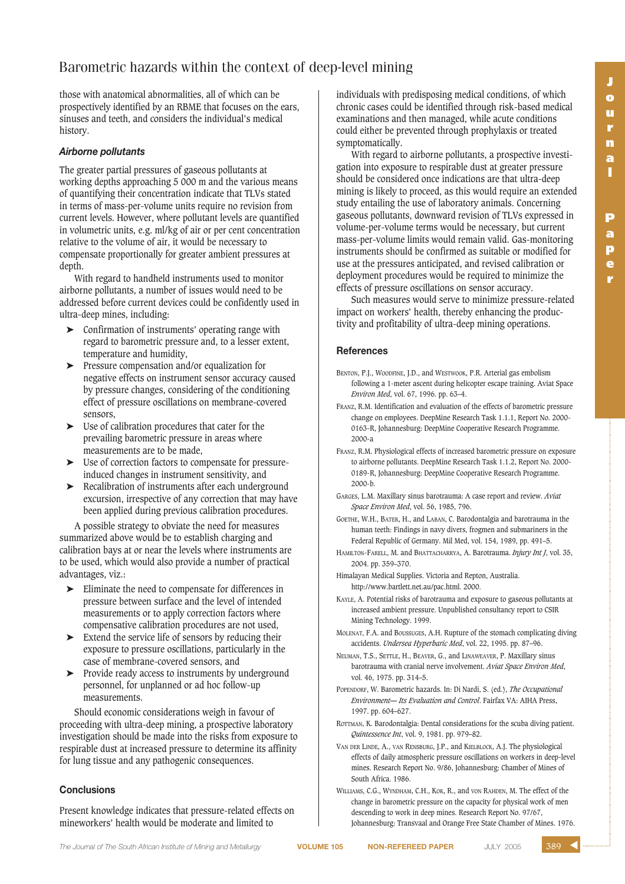**r**

# Barometric hazards within the context of deep-level mining

those with anatomical abnormalities, all of which can be prospectively identified by an RBME that focuses on the ears, sinuses and teeth, and considers the individual's medical history.

# *Airborne pollutants*

The greater partial pressures of gaseous pollutants at working depths approaching 5 000 m and the various means of quantifying their concentration indicate that TLVs stated in terms of mass-per-volume units require no revision from current levels. However, where pollutant levels are quantified in volumetric units, e.g. ml/kg of air or per cent concentration relative to the volume of air, it would be necessary to compensate proportionally for greater ambient pressures at depth.

With regard to handheld instruments used to monitor airborne pollutants, a number of issues would need to be addressed before current devices could be confidently used in ultra-deep mines, including:

- ➤ Confirmation of instruments' operating range with regard to barometric pressure and, to a lesser extent, temperature and humidity,
- ➤ Pressure compensation and/or equalization for negative effects on instrument sensor accuracy caused by pressure changes, considering of the conditioning effect of pressure oscillations on membrane-covered sensors,
- ➤ Use of calibration procedures that cater for the prevailing barometric pressure in areas where measurements are to be made,
- ➤ Use of correction factors to compensate for pressureinduced changes in instrument sensitivity, and
- ➤ Recalibration of instruments after each underground excursion, irrespective of any correction that may have been applied during previous calibration procedures.

A possible strategy to obviate the need for measures summarized above would be to establish charging and calibration bays at or near the levels where instruments are to be used, which would also provide a number of practical advantages, viz.:

- ➤ Eliminate the need to compensate for differences in pressure between surface and the level of intended measurements or to apply correction factors where compensative calibration procedures are not used,
- ➤ Extend the service life of sensors by reducing their exposure to pressure oscillations, particularly in the case of membrane-covered sensors, and
- ➤ Provide ready access to instruments by underground personnel, for unplanned or ad hoc follow-up measurements.

Should economic considerations weigh in favour of proceeding with ultra-deep mining, a prospective laboratory investigation should be made into the risks from exposure to respirable dust at increased pressure to determine its affinity for lung tissue and any pathogenic consequences.

# **Conclusions**

Present knowledge indicates that pressure-related effects on mineworkers' health would be moderate and limited to

individuals with predisposing medical conditions, of which chronic cases could be identified through risk-based medical examinations and then managed, while acute conditions could either be prevented through prophylaxis or treated symptomatically.

With regard to airborne pollutants, a prospective investigation into exposure to respirable dust at greater pressure should be considered once indications are that ultra-deep mining is likely to proceed, as this would require an extended study entailing the use of laboratory animals. Concerning gaseous pollutants, downward revision of TLVs expressed in volume-per-volume terms would be necessary, but current mass-per-volume limits would remain valid. Gas-monitoring instruments should be confirmed as suitable or modified for use at the pressures anticipated, and revised calibration or deployment procedures would be required to minimize the effects of pressure oscillations on sensor accuracy.

Such measures would serve to minimize pressure-related impact on workers' health, thereby enhancing the productivity and profitability of ultra-deep mining operations.

# **References**

- BENTON, P.J., WOODFINE, J.D., and WESTWOOK, P.R. Arterial gas embolism following a 1-meter ascent during helicopter escape training. Aviat Space *Environ Med*, vol. 67, 1996. pp. 63–4.
- FRANZ, R.M. Identification and evaluation of the effects of barometric pressure change on employees. DeepMine Research Task 1.1.1, Report No. 2000- 0163-R, Johannesburg: DeepMine Cooperative Research Programme. 2000-a
- FRANZ, R.M. Physiological effects of increased barometric pressure on exposure to airborne pollutants. DeepMine Research Task 1.1.2, Report No. 2000- 0189-R, Johannesburg: DeepMine Cooperative Research Programme. 2000-b.
- GARGES, L.M. Maxillary sinus barotrauma: A case report and review. *Aviat Space Environ Med*, vol. 56, 1985, 796.
- GOETHE, W.H., BATER, H., and LABAN, C. Barodontalgia and barotrauma in the human teeth: Findings in navy divers, frogmen and submariners in the Federal Republic of Germany. Mil Med, vol. 154, 1989, pp. 491–5.
- HAMILTON-FARELL, M. and BHATTACHARRYA, A. Barotrauma. *Injury Int J*, vol. 35, 2004. pp. 359–370.
- Himalayan Medical Supplies. Victoria and Repton, Australia. http://www.bartlett.net.au/pac.html. 2000.
- KAYLE, A. Potential risks of barotrauma and exposure to gaseous pollutants at increased ambient pressure. Unpublished consultancy report to CSIR Mining Technology. 1999.
- MOLENAT, F.A. and BOUSSUGES, A.H. Rupture of the stomach complicating diving accidents. *Undersea Hyperbaric Med*, vol. 22, 1995. pp. 87–96.
- NEUMAN, T.S., SETTLE, H., BEAVER, G., and LINAWEAVER, P. Maxillary sinus barotrauma with cranial nerve involvement. *Aviat Space Environ Med*, vol. 46, 1975. pp. 314–5.
- POPENDORF, W. Barometric hazards. In: Di Nardi, S. (ed.), *The Occupational Environment— Its Evaluation and Control*. Fairfax VA: AIHA Press, 1997. pp. 604–627.
- ROTTMAN, K. Barodontalgia: Dental considerations for the scuba diving patient. *Quintessence Int*, vol. 9, 1981. pp. 979–82.
- VAN DER LINDE, A., VAN RENSBURG, J.P., and KIELBLOCK, A.J. The physiological effects of daily atmospheric pressure oscillations on workers in deep-level mines. Research Report No. 9/86, Johannesburg: Chamber of Mines of South Africa. 1986.

WILLIAMS, C.G., WYNDHAM, C.H., KOK, R., and von RAHDEN, M. The effect of the change in barometric pressure on the capacity for physical work of men descending to work in deep mines. Research Report No. 97/67, Johannesburg: Transvaal and Orange Free State Chamber of Mines. 1976.